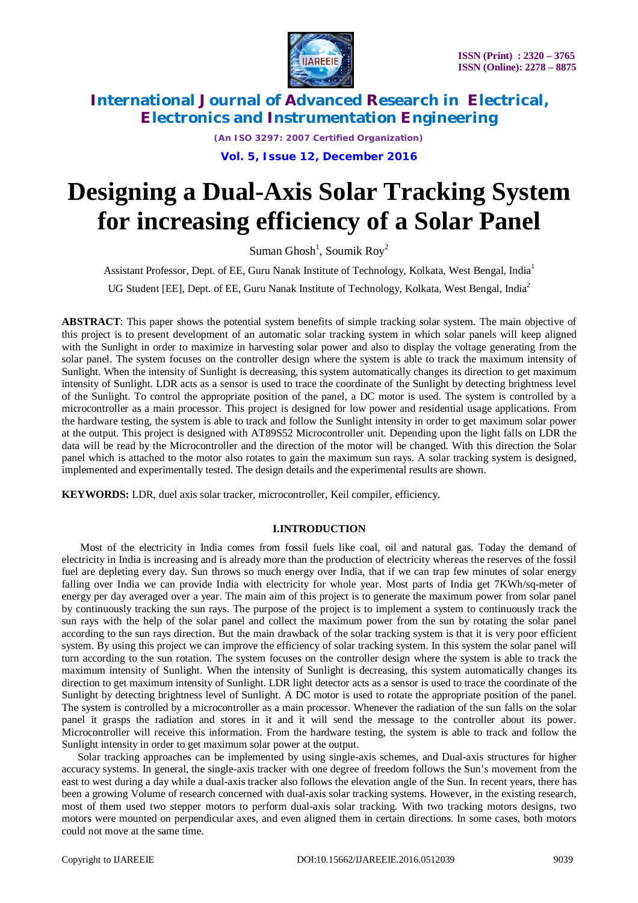

*(An ISO 3297: 2007 Certified Organization)*

**Vol. 5, Issue 12, December 2016**

# **Designing a Dual-Axis Solar Tracking System for increasing efficiency of a Solar Panel**

Suman Ghosh<sup>1</sup>, Soumik Roy<sup>2</sup>

Assistant Professor, Dept. of EE, Guru Nanak Institute of Technology, Kolkata, West Bengal, India<sup>1</sup>

UG Student [EE], Dept. of EE, Guru Nanak Institute of Technology, Kolkata, West Bengal, India<sup>2</sup>

**ABSTRACT**: This paper shows the potential system benefits of simple tracking solar system*.* The main objective of this project is to present development of an automatic solar tracking system in which solar panels will keep aligned with the Sunlight in order to maximize in harvesting solar power and also to display the voltage generating from the solar panel. The system focuses on the controller design where the system is able to track the maximum intensity of Sunlight. When the intensity of Sunlight is decreasing, this system automatically changes its direction to get maximum intensity of Sunlight. LDR acts as a sensor is used to trace the coordinate of the Sunlight by detecting brightness level of the Sunlight. To control the appropriate position of the panel, a DC motor is used. The system is controlled by a microcontroller as a main processor. This project is designed for low power and residential usage applications. From the hardware testing, the system is able to track and follow the Sunlight intensity in order to get maximum solar power at the output. This project is designed with AT89S52 Microcontroller unit. Depending upon the light falls on LDR the data will be read by the Microcontroller and the direction of the motor will be changed. With this direction the Solar panel which is attached to the motor also rotates to gain the maximum sun rays. A solar tracking system is designed, implemented and experimentally tested. The design details and the experimental results are shown.

**KEYWORDS:** LDR, duel axis solar tracker, microcontroller, Keil compiler, efficiency.

### **I.INTRODUCTION**

 Most of the electricity in India comes from fossil fuels like coal, oil and natural gas. Today the demand of electricity in India is increasing and is already more than the production of electricity whereas the reserves of the fossil fuel are depleting every day. Sun throws so much energy over India, that if we can trap few minutes of solar energy falling over India we can provide India with electricity for whole year. Most parts of India get 7KWh/sq-meter of energy per day averaged over a year. The main aim of this project is to generate the maximum power from solar panel by continuously tracking the sun rays. The purpose of the project is to implement a system to continuously track the sun rays with the help of the solar panel and collect the maximum power from the sun by rotating the solar panel according to the sun rays direction. But the main drawback of the solar tracking system is that it is very poor efficient system. By using this project we can improve the efficiency of solar tracking system. In this system the solar panel will turn according to the sun rotation. The system focuses on the controller design where the system is able to track the maximum intensity of Sunlight. When the intensity of Sunlight is decreasing, this system automatically changes its direction to get maximum intensity of Sunlight. LDR light detector acts as a sensor is used to trace the coordinate of the Sunlight by detecting brightness level of Sunlight. A DC motor is used to rotate the appropriate position of the panel. The system is controlled by a microcontroller as a main processor. Whenever the radiation of the sun falls on the solar panel it grasps the radiation and stores in it and it will send the message to the controller about its power. Microcontroller will receive this information. From the hardware testing, the system is able to track and follow the Sunlight intensity in order to get maximum solar power at the output.

 Solar tracking approaches can be implemented by using single-axis schemes, and Dual-axis structures for higher accuracy systems. In general, the single-axis tracker with one degree of freedom follows the Sun's movement from the east to west during a day while a dual-axis tracker also follows the elevation angle of the Sun. In recent years, there has been a growing Volume of research concerned with dual-axis solar tracking systems. However, in the existing research, most of them used two stepper motors to perform dual-axis solar tracking. With two tracking motors designs, two motors were mounted on perpendicular axes, and even aligned them in certain directions. In some cases, both motors could not move at the same time.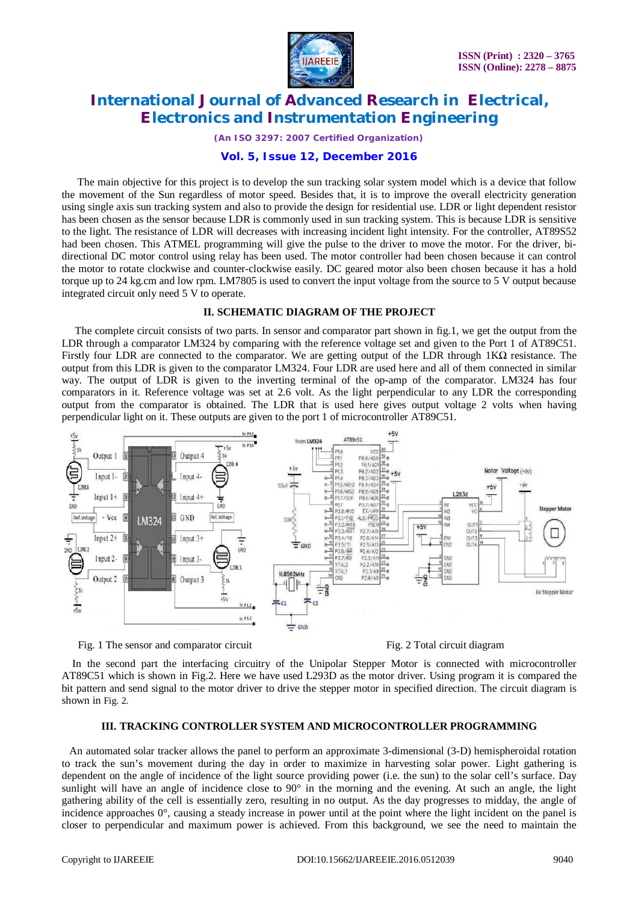

*(An ISO 3297: 2007 Certified Organization)*

### **Vol. 5, Issue 12, December 2016**

 The main objective for this project is to develop the sun tracking solar system model which is a device that follow the movement of the Sun regardless of motor speed. Besides that, it is to improve the overall electricity generation using single axis sun tracking system and also to provide the design for residential use. LDR or light dependent resistor has been chosen as the sensor because LDR is commonly used in sun tracking system. This is because LDR is sensitive to the light. The resistance of LDR will decreases with increasing incident light intensity. For the controller, AT89S52 had been chosen. This ATMEL programming will give the pulse to the driver to move the motor. For the driver, bidirectional DC motor control using relay has been used. The motor controller had been chosen because it can control the motor to rotate clockwise and counter-clockwise easily. DC geared motor also been chosen because it has a hold torque up to 24 kg.cm and low rpm. LM7805 is used to convert the input voltage from the source to 5 V output because integrated circuit only need 5 V to operate.

### **II. SCHEMATIC DIAGRAM OF THE PROJECT**

 The complete circuit consists of two parts. In sensor and comparator part shown in fig.1, we get the output from the LDR through a comparator LM324 by comparing with the reference voltage set and given to the Port 1 of AT89C51. Firstly four LDR are connected to the comparator. We are getting output of the LDR through 1KΩ resistance. The output from this LDR is given to the comparator LM324. Four LDR are used here and all of them connected in similar way. The output of LDR is given to the inverting terminal of the op-amp of the comparator. LM324 has four comparators in it. Reference voltage was set at 2.6 volt. As the light perpendicular to any LDR the corresponding output from the comparator is obtained. The LDR that is used here gives output voltage 2 volts when having perpendicular light on it. These outputs are given to the port 1 of microcontroller AT89C51.



Fig. 1 The sensor and comparator circuit Fig. 2 Total circuit diagram

 In the second part the interfacing circuitry of the Unipolar Stepper Motor is connected with microcontroller AT89C51 which is shown in Fig.2. Here we have used L293D as the motor driver. Using program it is compared the bit pattern and send signal to the motor driver to drive the stepper motor in specified direction. The circuit diagram is shown in Fig. 2.

### **III. TRACKING CONTROLLER SYSTEM AND MICROCONTROLLER PROGRAMMING**

 An automated solar tracker allows the panel to perform an approximate 3-dimensional (3-D) hemispheroidal rotation to track the sun's movement during the day in order to maximize in harvesting solar power. Light gathering is dependent on the angle of incidence of the light source providing power (i.e. the sun) to the solar cell's surface. Day sunlight will have an angle of incidence close to  $90^\circ$  in the morning and the evening. At such an angle, the light gathering ability of the cell is essentially zero, resulting in no output. As the day progresses to midday, the angle of incidence approaches 0°, causing a steady increase in power until at the point where the light incident on the panel is closer to perpendicular and maximum power is achieved. From this background, we see the need to maintain the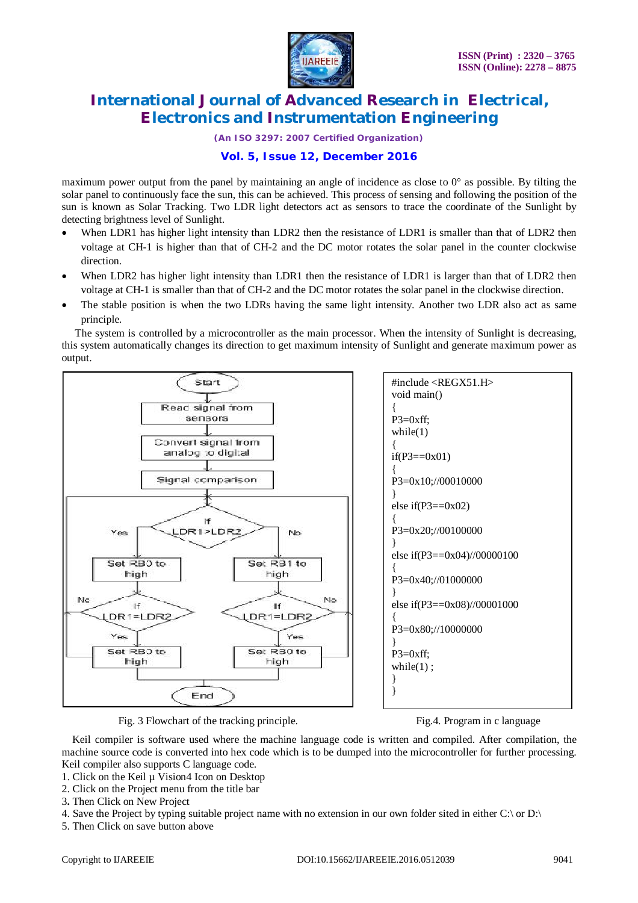

*(An ISO 3297: 2007 Certified Organization)*

# **Vol. 5, Issue 12, December 2016**

maximum power output from the panel by maintaining an angle of incidence as close to 0° as possible. By tilting the solar panel to continuously face the sun, this can be achieved. This process of sensing and following the position of the sun is known as Solar Tracking. Two LDR light detectors act as sensors to trace the coordinate of the Sunlight by detecting brightness level of Sunlight.

- When LDR1 has higher light intensity than LDR2 then the resistance of LDR1 is smaller than that of LDR2 then voltage at CH-1 is higher than that of CH-2 and the DC motor rotates the solar panel in the counter clockwise direction.
- When LDR2 has higher light intensity than LDR1 then the resistance of LDR1 is larger than that of LDR2 then voltage at CH-1 is smaller than that of CH-2 and the DC motor rotates the solar panel in the clockwise direction.
- The stable position is when the two LDRs having the same light intensity. Another two LDR also act as same principle.

 The system is controlled by a microcontroller as the main processor. When the intensity of Sunlight is decreasing, this system automatically changes its direction to get maximum intensity of Sunlight and generate maximum power as output.



Fig. 3 Flowchart of the tracking principle. Fig. 4. Program in c language



 Keil compiler is software used where the machine language code is written and compiled. After compilation, the machine source code is converted into hex code which is to be dumped into the microcontroller for further processing. Keil compiler also supports C language code.

- 1. Click on the Keil µ Vision4 Icon on Desktop
- 2. Click on the Project menu from the title bar
- 3**.** Then Click on New Project
- 4. Save the Project by typing suitable project name with no extension in our own folder sited in either C:\ or D:\
- 5. Then Click on save button above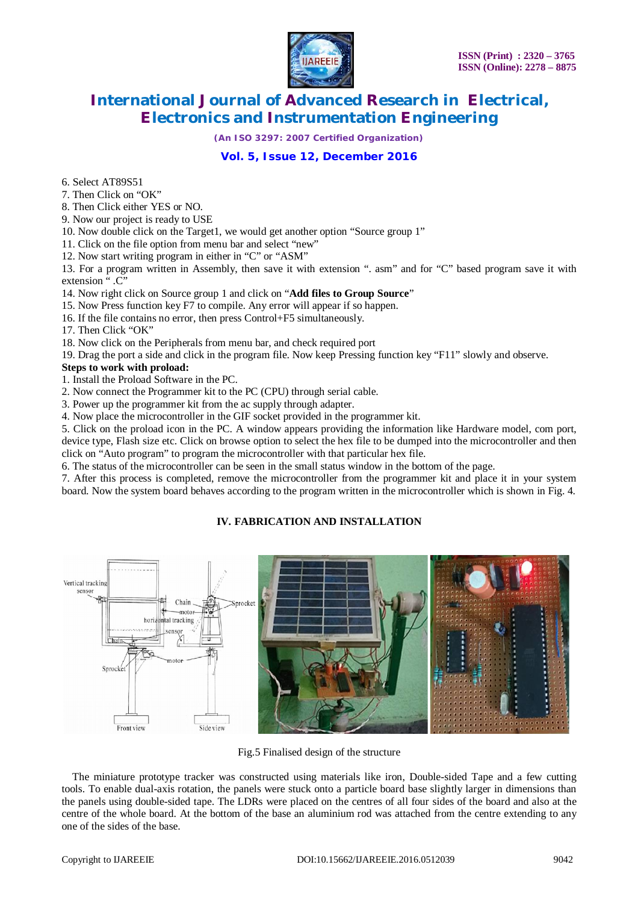

*(An ISO 3297: 2007 Certified Organization)*

# **Vol. 5, Issue 12, December 2016**

6. Select AT89S51

7. Then Click on "OK"

8. Then Click either YES or NO.

9. Now our project is ready to USE

10. Now double click on the Target1, we would get another option "Source group 1"

11. Click on the file option from menu bar and select "new"

12. Now start writing program in either in "C" or "ASM"

13. For a program written in Assembly, then save it with extension ". asm" and for "C" based program save it with extension ".C"

14. Now right click on Source group 1 and click on "**Add files to Group Source**"

15. Now Press function key F7 to compile. Any error will appear if so happen.

16. If the file contains no error, then press Control+F5 simultaneously.

17. Then Click "OK"

18. Now click on the Peripherals from menu bar, and check required port

19. Drag the port a side and click in the program file. Now keep Pressing function key "F11" slowly and observe.

### **Steps to work with proload:**

1. Install the Proload Software in the PC.

2. Now connect the Programmer kit to the PC (CPU) through serial cable.

3. Power up the programmer kit from the ac supply through adapter.

4. Now place the microcontroller in the GIF socket provided in the programmer kit.

5. Click on the proload icon in the PC. A window appears providing the information like Hardware model, com port, device type, Flash size etc. Click on browse option to select the hex file to be dumped into the microcontroller and then click on "Auto program" to program the microcontroller with that particular hex file.

6. The status of the microcontroller can be seen in the small status window in the bottom of the page.

7. After this process is completed, remove the microcontroller from the programmer kit and place it in your system board. Now the system board behaves according to the program written in the microcontroller which is shown in Fig. 4.

## **IV. FABRICATION AND INSTALLATION**



Fig.5 Finalised design of the structure

 The miniature prototype tracker was constructed using materials like iron, Double-sided Tape and a few cutting tools. To enable dual-axis rotation, the panels were stuck onto a particle board base slightly larger in dimensions than the panels using double-sided tape. The LDRs were placed on the centres of all four sides of the board and also at the centre of the whole board. At the bottom of the base an aluminium rod was attached from the centre extending to any one of the sides of the base.